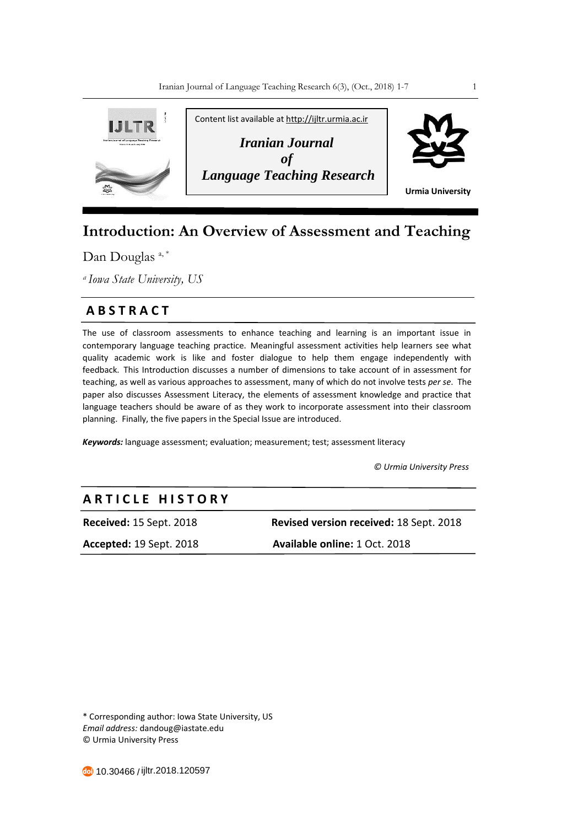

# **Introduction: An Overview of Assessment and Teaching**

Dan Douglas<sup>a,\*</sup>

*<sup>a</sup>Iowa State University, US*

# **A B S T R A C T**

The use of classroom assessments to enhance teaching and learning is an important issue in contemporary language teaching practice. Meaningful assessment activities help learners see what quality academic work is like and foster dialogue to help them engage independently with feedback. This Introduction discusses a number of dimensions to take account of in assessment for teaching, as well as various approaches to assessment, many of which do not involve tests *per se*. The paper also discusses Assessment Literacy, the elements of assessment knowledge and practice that language teachers should be aware of as they work to incorporate assessment into their classroom planning. Finally, the five papers in the Special Issue are introduced.

*Keywords:* language assessment; evaluation; measurement; test; assessment literacy

 *© Urmia University Press*

## **A R T I C L E H I S T O R Y**

**Received:** 15 Sept. 2018 **Revised version received:** 18 Sept. 2018 **Accepted:** 19 Sept. 2018 **Available online:** 1 Oct. 2018

\* Corresponding author: Iowa State University, US *Email address:* dandoug@iastate.edu © Urmia University Press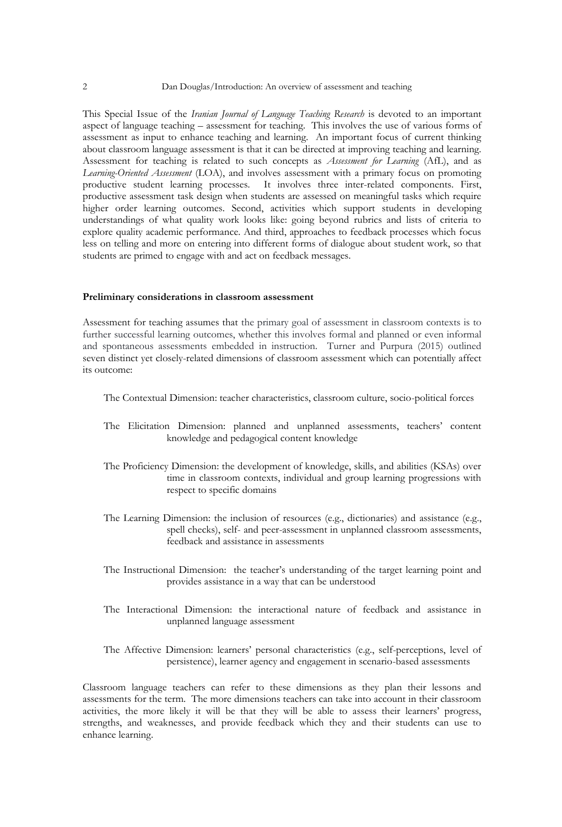This Special Issue of the *Iranian Journal of Language Teaching Research* is devoted to an important aspect of language teaching – assessment for teaching. This involves the use of various forms of assessment as input to enhance teaching and learning. An important focus of current thinking about classroom language assessment is that it can be directed at improving teaching and learning. Assessment for teaching is related to such concepts as *Assessment for Learning* (AfL), and as *Learning-Oriented Assessment* (LOA), and involves assessment with a primary focus on promoting productive student learning processes. It involves three inter-related components. First, productive assessment task design when students are assessed on meaningful tasks which require higher order learning outcomes. Second, activities which support students in developing understandings of what quality work looks like: going beyond rubrics and lists of criteria to explore quality academic performance. And third, approaches to feedback processes which focus less on telling and more on entering into different forms of dialogue about student work, so that students are primed to engage with and act on feedback messages.

#### **Preliminary considerations in classroom assessment**

Assessment for teaching assumes that the primary goal of assessment in classroom contexts is to further successful learning outcomes, whether this involves formal and planned or even informal and spontaneous assessments embedded in instruction. Turner and Purpura (2015) outlined seven distinct yet closely-related dimensions of classroom assessment which can potentially affect its outcome:

The Contextual Dimension: teacher characteristics, classroom culture, socio-political forces

- The Elicitation Dimension: planned and unplanned assessments, teachers' content knowledge and pedagogical content knowledge
- The Proficiency Dimension: the development of knowledge, skills, and abilities (KSAs) over time in classroom contexts, individual and group learning progressions with respect to specific domains
- The Learning Dimension: the inclusion of resources (e.g., dictionaries) and assistance (e.g., spell checks), self- and peer-assessment in unplanned classroom assessments, feedback and assistance in assessments
- The Instructional Dimension: the teacher's understanding of the target learning point and provides assistance in a way that can be understood
- The Interactional Dimension: the interactional nature of feedback and assistance in unplanned language assessment
- The Affective Dimension: learners' personal characteristics (e.g., self-perceptions, level of persistence), learner agency and engagement in scenario-based assessments

Classroom language teachers can refer to these dimensions as they plan their lessons and assessments for the term. The more dimensions teachers can take into account in their classroom activities, the more likely it will be that they will be able to assess their learners' progress, strengths, and weaknesses, and provide feedback which they and their students can use to enhance learning.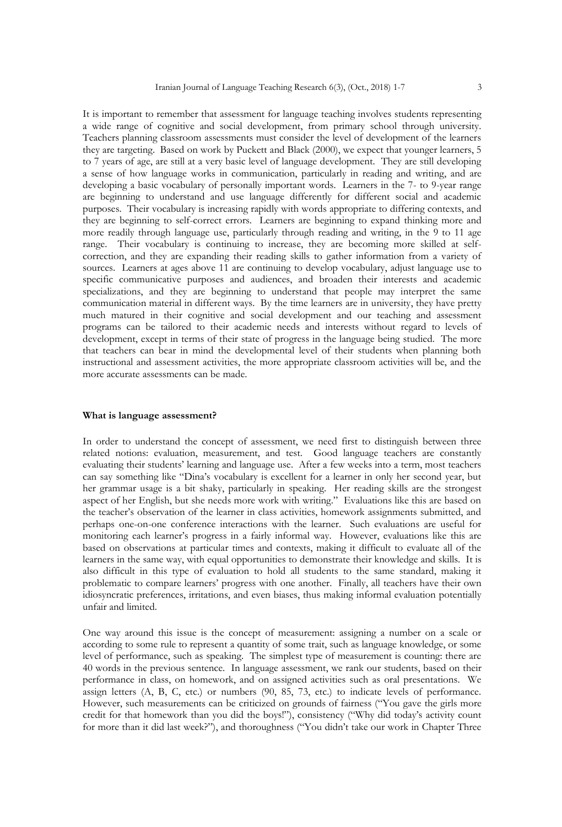It is important to remember that assessment for language teaching involves students representing a wide range of cognitive and social development, from primary school through university. Teachers planning classroom assessments must consider the level of development of the learners they are targeting. Based on work by Puckett and Black (2000), we expect that younger learners, 5 to 7 years of age, are still at a very basic level of language development. They are still developing a sense of how language works in communication, particularly in reading and writing, and are developing a basic vocabulary of personally important words. Learners in the 7- to 9-year range are beginning to understand and use language differently for different social and academic purposes. Their vocabulary is increasing rapidly with words appropriate to differing contexts, and they are beginning to self-correct errors. Learners are beginning to expand thinking more and more readily through language use, particularly through reading and writing, in the 9 to 11 age range. Their vocabulary is continuing to increase, they are becoming more skilled at selfcorrection, and they are expanding their reading skills to gather information from a variety of sources. Learners at ages above 11 are continuing to develop vocabulary, adjust language use to specific communicative purposes and audiences, and broaden their interests and academic specializations, and they are beginning to understand that people may interpret the same communication material in different ways. By the time learners are in university, they have pretty much matured in their cognitive and social development and our teaching and assessment programs can be tailored to their academic needs and interests without regard to levels of development, except in terms of their state of progress in the language being studied. The more that teachers can bear in mind the developmental level of their students when planning both instructional and assessment activities, the more appropriate classroom activities will be, and the more accurate assessments can be made.

#### **What is language assessment?**

In order to understand the concept of assessment, we need first to distinguish between three related notions: evaluation, measurement, and test. Good language teachers are constantly evaluating their students' learning and language use. After a few weeks into a term, most teachers can say something like "Dina's vocabulary is excellent for a learner in only her second year, but her grammar usage is a bit shaky, particularly in speaking. Her reading skills are the strongest aspect of her English, but she needs more work with writing." Evaluations like this are based on the teacher's observation of the learner in class activities, homework assignments submitted, and perhaps one-on-one conference interactions with the learner. Such evaluations are useful for monitoring each learner's progress in a fairly informal way. However, evaluations like this are based on observations at particular times and contexts, making it difficult to evaluate all of the learners in the same way, with equal opportunities to demonstrate their knowledge and skills. It is also difficult in this type of evaluation to hold all students to the same standard, making it problematic to compare learners' progress with one another. Finally, all teachers have their own idiosyncratic preferences, irritations, and even biases, thus making informal evaluation potentially unfair and limited.

One way around this issue is the concept of measurement: assigning a number on a scale or according to some rule to represent a quantity of some trait, such as language knowledge, or some level of performance, such as speaking. The simplest type of measurement is counting: there are 40 words in the previous sentence. In language assessment, we rank our students, based on their performance in class, on homework, and on assigned activities such as oral presentations. We assign letters (A, B, C, etc.) or numbers (90, 85, 73, etc.) to indicate levels of performance. However, such measurements can be criticized on grounds of fairness ("You gave the girls more credit for that homework than you did the boys!"), consistency ("Why did today's activity count for more than it did last week?"), and thoroughness ("You didn't take our work in Chapter Three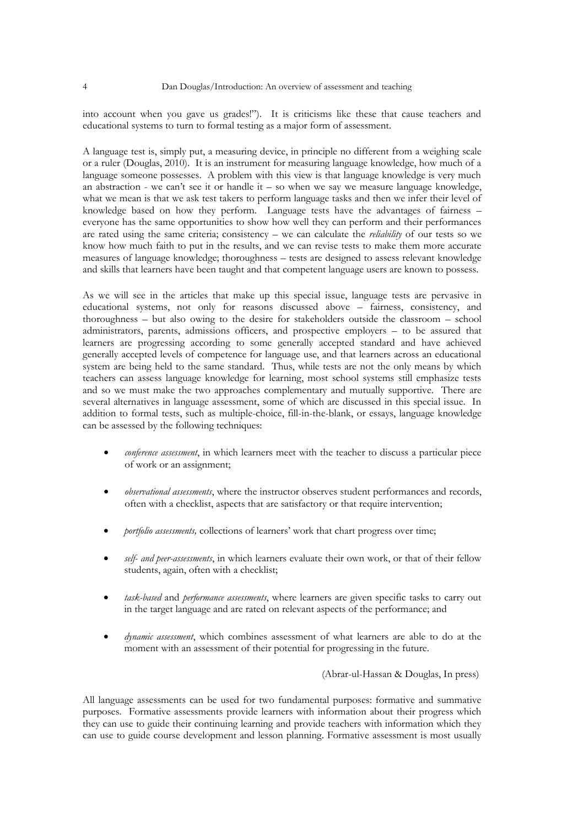into account when you gave us grades!"). It is criticisms like these that cause teachers and educational systems to turn to formal testing as a major form of assessment.

A language test is, simply put, a measuring device, in principle no different from a weighing scale or a ruler (Douglas, 2010). It is an instrument for measuring language knowledge, how much of a language someone possesses. A problem with this view is that language knowledge is very much an abstraction - we can't see it or handle it  $-$  so when we say we measure language knowledge, what we mean is that we ask test takers to perform language tasks and then we infer their level of knowledge based on how they perform. Language tests have the advantages of fairness – everyone has the same opportunities to show how well they can perform and their performances are rated using the same criteria; consistency – we can calculate the *reliability* of our tests so we know how much faith to put in the results, and we can revise tests to make them more accurate measures of language knowledge; thoroughness – tests are designed to assess relevant knowledge and skills that learners have been taught and that competent language users are known to possess.

As we will see in the articles that make up this special issue, language tests are pervasive in educational systems, not only for reasons discussed above – fairness, consistency, and thoroughness – but also owing to the desire for stakeholders outside the classroom – school administrators, parents, admissions officers, and prospective employers – to be assured that learners are progressing according to some generally accepted standard and have achieved generally accepted levels of competence for language use, and that learners across an educational system are being held to the same standard. Thus, while tests are not the only means by which teachers can assess language knowledge for learning, most school systems still emphasize tests and so we must make the two approaches complementary and mutually supportive. There are several alternatives in language assessment, some of which are discussed in this special issue. In addition to formal tests, such as multiple-choice, fill-in-the-blank, or essays, language knowledge can be assessed by the following techniques:

- *conference assessment*, in which learners meet with the teacher to discuss a particular piece of work or an assignment;
- *observational assessments*, where the instructor observes student performances and records, often with a checklist, aspects that are satisfactory or that require intervention;
- *portfolio assessments,* collections of learners' work that chart progress over time;
- *self- and peer-assessments*, in which learners evaluate their own work, or that of their fellow students, again, often with a checklist;
- *task-based* and *performance assessments*, where learners are given specific tasks to carry out in the target language and are rated on relevant aspects of the performance; and
- *dynamic assessment*, which combines assessment of what learners are able to do at the moment with an assessment of their potential for progressing in the future.

(Abrar-ul-Hassan & Douglas, In press)

All language assessments can be used for two fundamental purposes: formative and summative purposes. Formative assessments provide learners with information about their progress which they can use to guide their continuing learning and provide teachers with information which they can use to guide course development and lesson planning. Formative assessment is most usually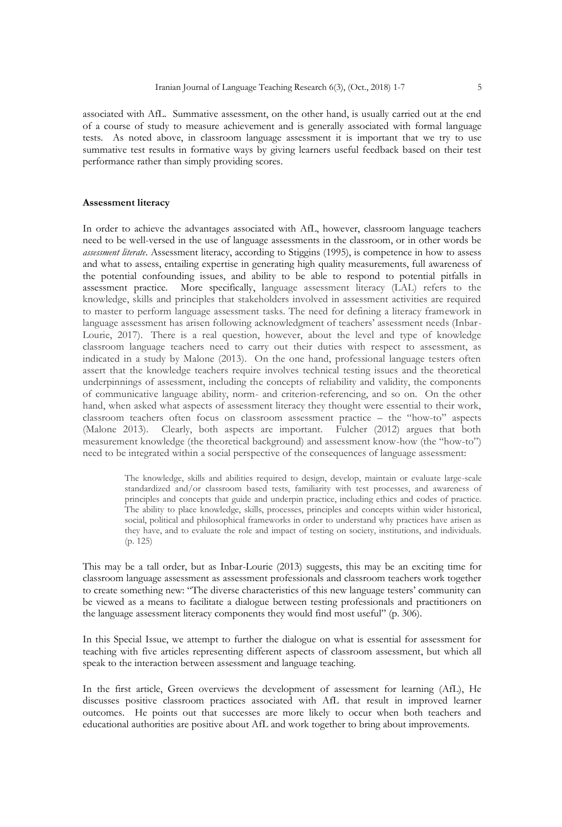associated with AfL. Summative assessment, on the other hand, is usually carried out at the end of a course of study to measure achievement and is generally associated with formal language tests. As noted above, in classroom language assessment it is important that we try to use summative test results in formative ways by giving learners useful feedback based on their test performance rather than simply providing scores.

### **Assessment literacy**

In order to achieve the advantages associated with AfL, however, classroom language teachers need to be well-versed in the use of language assessments in the classroom, or in other words be *assessment literate*. Assessment literacy, according to Stiggins (1995), is competence in how to assess and what to assess, entailing expertise in generating high quality measurements, full awareness of the potential confounding issues, and ability to be able to respond to potential pitfalls in assessment practice. More specifically, language assessment literacy (LAL) refers to the knowledge, skills and principles that stakeholders involved in assessment activities are required to master to perform language assessment tasks. The need for defining a literacy framework in language assessment has arisen following acknowledgment of teachers' assessment needs (Inbar-Lourie, 2017). There is a real question, however, about the level and type of knowledge classroom language teachers need to carry out their duties with respect to assessment, as indicated in a study by Malone (2013). On the one hand, professional language testers often assert that the knowledge teachers require involves technical testing issues and the theoretical underpinnings of assessment, including the concepts of reliability and validity, the components of communicative language ability, norm- and criterion-referencing, and so on. On the other hand, when asked what aspects of assessment literacy they thought were essential to their work, classroom teachers often focus on classroom assessment practice – the "how-to" aspects (Malone 2013). Clearly, both aspects are important. Fulcher (2012) argues that both measurement knowledge (the theoretical background) and assessment know-how (the "how-to") need to be integrated within a social perspective of the consequences of language assessment:

> The knowledge, skills and abilities required to design, develop, maintain or evaluate large-scale standardized and/or classroom based tests, familiarity with test processes, and awareness of principles and concepts that guide and underpin practice, including ethics and codes of practice. The ability to place knowledge, skills, processes, principles and concepts within wider historical, social, political and philosophical frameworks in order to understand why practices have arisen as they have, and to evaluate the role and impact of testing on society, institutions, and individuals. (p. 125)

This may be a tall order, but as Inbar-Lourie (2013) suggests, this may be an exciting time for classroom language assessment as assessment professionals and classroom teachers work together to create something new: "The diverse characteristics of this new language testers' community can be viewed as a means to facilitate a dialogue between testing professionals and practitioners on the language assessment literacy components they would find most useful" (p. 306).

In this Special Issue, we attempt to further the dialogue on what is essential for assessment for teaching with five articles representing different aspects of classroom assessment, but which all speak to the interaction between assessment and language teaching.

In the first article, Green overviews the development of assessment for learning (AfL), He discusses positive classroom practices associated with AfL that result in improved learner outcomes. He points out that successes are more likely to occur when both teachers and educational authorities are positive about AfL and work together to bring about improvements.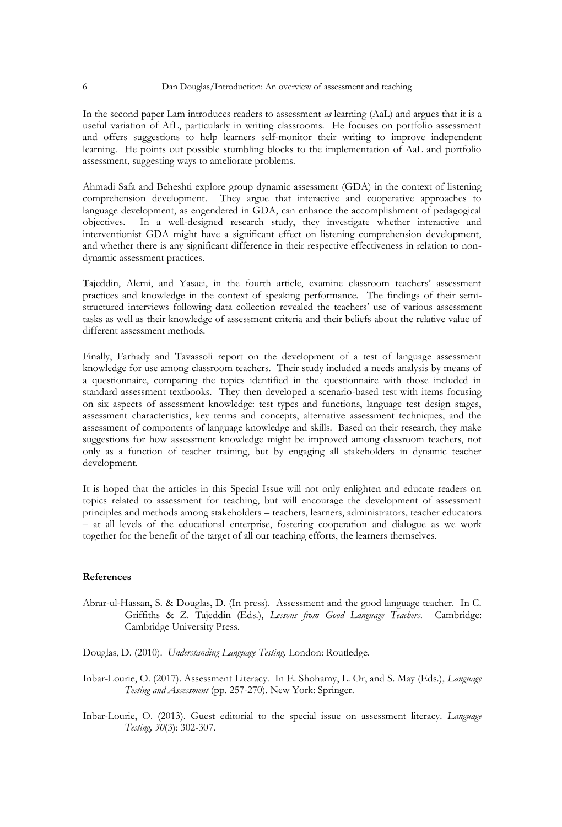In the second paper Lam introduces readers to assessment *as* learning (AaL) and argues that it is a useful variation of AfL, particularly in writing classrooms. He focuses on portfolio assessment and offers suggestions to help learners self-monitor their writing to improve independent learning. He points out possible stumbling blocks to the implementation of AaL and portfolio assessment, suggesting ways to ameliorate problems.

Ahmadi Safa and Beheshti explore group dynamic assessment (GDA) in the context of listening comprehension development. They argue that interactive and cooperative approaches to language development, as engendered in GDA, can enhance the accomplishment of pedagogical objectives. In a well-designed research study, they investigate whether interactive and interventionist GDA might have a significant effect on listening comprehension development, and whether there is any significant difference in their respective effectiveness in relation to nondynamic assessment practices.

Tajeddin, Alemi, and Yasaei, in the fourth article, examine classroom teachers' assessment practices and knowledge in the context of speaking performance. The findings of their semistructured interviews following data collection revealed the teachers' use of various assessment tasks as well as their knowledge of assessment criteria and their beliefs about the relative value of different assessment methods.

Finally, Farhady and Tavassoli report on the development of a test of language assessment knowledge for use among classroom teachers. Their study included a needs analysis by means of a questionnaire, comparing the topics identified in the questionnaire with those included in standard assessment textbooks. They then developed a scenario-based test with items focusing on six aspects of assessment knowledge: test types and functions, language test design stages, assessment characteristics, key terms and concepts, alternative assessment techniques, and the assessment of components of language knowledge and skills. Based on their research, they make suggestions for how assessment knowledge might be improved among classroom teachers, not only as a function of teacher training, but by engaging all stakeholders in dynamic teacher development.

It is hoped that the articles in this Special Issue will not only enlighten and educate readers on topics related to assessment for teaching, but will encourage the development of assessment principles and methods among stakeholders – teachers, learners, administrators, teacher educators – at all levels of the educational enterprise, fostering cooperation and dialogue as we work together for the benefit of the target of all our teaching efforts, the learners themselves.

### **References**

- Abrar-ul-Hassan, S. & Douglas, D. (In press). Assessment and the good language teacher. In C. Griffiths & Z. Tajeddin (Eds.), *Lessons from Good Language Teachers*. Cambridge: Cambridge University Press.
- Douglas, D. (2010). *Understanding Language Testing.* London: Routledge.
- Inbar-Lourie, O. (2017). Assessment Literacy. In E. Shohamy, L. Or, and S. May (Eds.), *Language Testing and Assessment* (pp. 257-270). New York: Springer.
- Inbar-Lourie, O. (2013). Guest editorial to the special issue on assessment literacy. *Language Testing, 30*(3): 302-307.